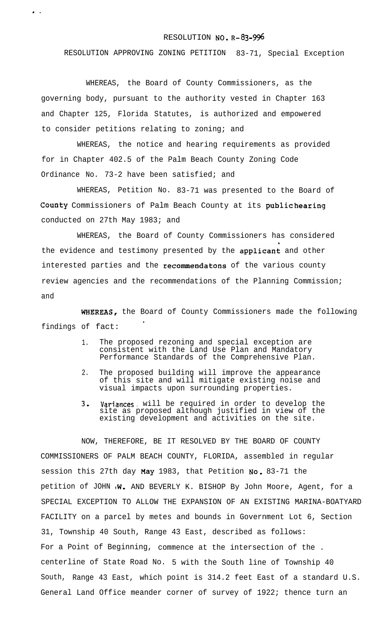## RESOLUTION **NO.** R-83-996

RESOLUTION APPROVING ZONING PETITION 83-71, Special Exception

WHEREAS, the Board of County Commissioners, as the governing body, pursuant to the authority vested in Chapter 163 and Chapter 125, Florida Statutes, is authorized and empowered to consider petitions relating to zoning; and

 $\bullet$ 

WHEREAS, the notice and hearing requirements as provided for in Chapter 402.5 of the Palm Beach County Zoning Code Ordinance No. 73-2 have been satisfied; and

WHEREAS, Petition No. 83-71 was presented to the Board of **County** Commissioners of Palm Beach County at its public hearing conducted on 27th May 1983; and

WHEREAS, the Board of County Commissioners has considered the evidence and testimony presented by the applicant and other interested parties and the recommendatons of the various county review agencies and the recommendations of the Planning Commission; and

WHEREAS, the Board of County Commissioners made the following findings of fact:

- 1. The proposed rezoning and special exception are consistent with the Land Use Plan and Mandatory Performance Standards of the Comprehensive Plan.
- $\mathcal{D}$ The proposed building will improve the appearance of this site and will mitigate existing noise and visual impacts upon surrounding properties.
- 3, Variances- will be required in order to develop the site as proposed although justified in view of the existing development and activities on the site.

NOW, THEREFORE, BE IT RESOLVED BY THE BOARD OF COUNTY COMMISSIONERS OF PALM BEACH COUNTY, FLORIDA, assembled in regular session this 27th day **May** 1983, that Petition **No.** 83-71 the petition of JOHN W. AND BEVERLY K. BISHOP By John Moore, Agent, for a SPECIAL EXCEPTION TO ALLOW THE EXPANSION OF AN EXISTING MARINA-BOATYARD FACILITY on a parcel by metes and bounds in Government Lot 6, Section 31, Township 40 South, Range 43 East, described as follows: For a Point of Beginning, commence at the intersection of the . centerline of State Road No. 5 with the South line of Township 40 South, Range 43 East, which point is 314.2 feet East of a standard U.S. General Land Office meander corner of survey of 1922; thence turn an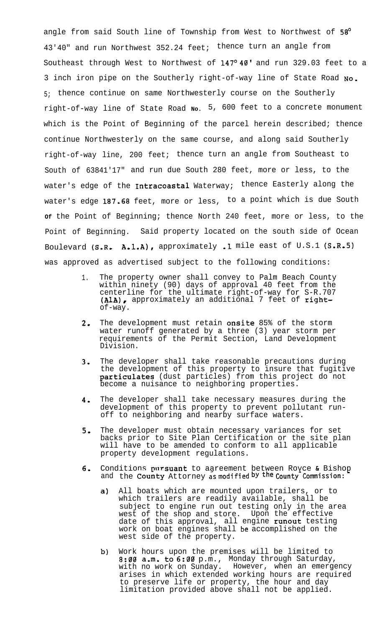angle from said South line of Township from West to Northwest of 58° 43'40" and run Northwest 352.24 feet; thence turn an angle from Southeast through West to Northwest of 147°40' and run 329.03 feet to a 3 inch iron pipe on the Southerly right-of-way line of State Road No. 5; thence continue on same Northwesterly course on the Southerly right-of-way line of State Road **No.** 5, 600 feet to a concrete monument which is the Point of Beginning of the parcel herein described; thence continue Northwesterly on the same course, and along said Southerly right-of-way line, 200 feet; thence turn an angle from Southeast to South of 63841'17" and run due South 280 feet, more or less, to the water's edge of the Intracoastal Waterway; thence Easterly along the water's edge 187.68 feet, more or less, to a point which is due South **Of** the Point of Beginning; thence North 240 feet, more or less, to the Point of Beginning. Said property located on the south side of Ocean Boulevard (S-R, A-l-A), approximately .l mile east of U.S.1 (S.R.5) was approved as advertised subject to the following conditions:

- 1. The property owner shall convey to Palm Beach County within ninety (90) days of approval 40 feet from the centerline for the ultimate right-of-way for S-R.707 (AlA), approximately an additional 7 feet of  $\texttt{right-}$ of-way.
- 2. The development must retain onsite 85% of the storm water runoff generated by a three (3) year storm per requirements of the Permit Section, Land Development Division.
- 3. The developer shall take reasonable precautions during the development of this property to insure that fugitive particulates (dust particles) from this project do not become a nuisance to neighboring properties.
- 4. The developer shall take necessary measures during the development of this property to prevent pollutant runoff to neighboring and nearby surface waters.
- 5. The developer must obtain necessary variances for set backs prior to Site Plan Certification or the site plan will have to be amended to conform to all applicable property development regulations.
- **6.** Conditions pursuant to aareement between Royce & Bishop and the **County** Attorney **as modified <sup>Dy the</sup> County Commission:** 
	- a) All boats which are mounted upon trailers, or to which trailers are readily available, shall be subject to engine run out testing only in the area west of the shop and store. Upon the effective date of this approval, all engine **runout** testing work on boat engines shall **be** accomplished on the west side of the property.
	- b) Work hours upon the premises will be limited to 8:00 **a.m. to 6:00** p.m., Monday through Saturday, with no work on Sunday. However, when an emergency arises in which extended working hours are required to preserve life or property, the hour and day limitation provided above shall not be applied.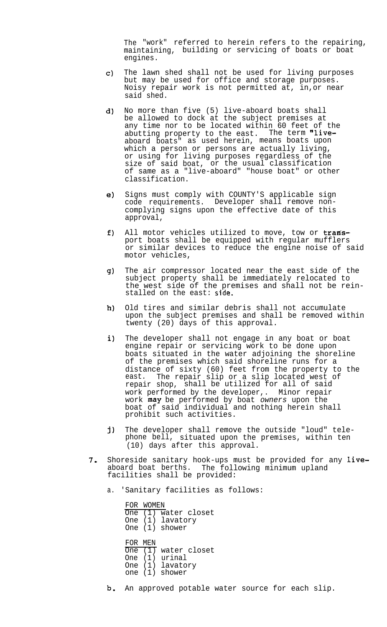The "work" referred to herein refers to the repairing, maintaining, building or servicing of boats or boat engines.

- $c)$ The lawn shed shall not be used for living purposes but may be used for office and storage purposes. Noisy repair work is not permitted at, in,or near said shed.
- d) No more than five (5) live-aboard boats shall be allowed to dock at the subject premises at any time nor to be located within 60 feet of the abutting property to the east. The term "liveaboard boats" as used herein, means boats upon which a person or persons are actually living, or using for living purposes regardless of the size of said boat, or the usual classification of same as a "live-aboard" "house boat" or other classification.
- e) Signs must comply with COUNTY'S applicable sign code requirements. Developer shall remove noncomplying signs upon the effective date of this approval,
- f) All motor vehicles utilized to move, tow or  $trans$ port boats shall be equipped with regular mufflers or similar devices to reduce the engine noise of said motor vehicles,
- 9) The air compressor located near the east side of the subject property shall be immediately relocated to the west side of the premises and shall not be reinstalled on the east: **side.**
- h) Old tires and similar debris shall not accumulate upon the subject premises and shall be removed within twenty (20) days of this approval.
- i) The developer shall not engage in any boat or boat engine repair or servicing work to be done upon boats situated in the water adjoining the shoreline of the premises which said shoreline runs for a distance of sixty (60) feet from the property to the east. The repair slip or a slip located west of repair shop, shall be utilized for all of said work performed by the developer,. Minor repair work **may** be performed by boat *owners* upon the boat of said individual and nothing herein shall prohibit such activities.
- j) The developer shall remove the outside "loud" telephone bell, situated upon the premises, within ten (10) days after this approval.
- 7. Shoreside sanitary hook-ups must be provided for any liveaboard boat berths. The following minimum upland facilities shall be provided:
	- a. 'Sanitary facilities as follows:

FOR WOMEN One (1) water closet One (1) lavatory One (1) shower

FOR MEN One (1) water closet One (1) urinal One (1) lavatory one (1) shower

b. An approved potable water source for each slip.